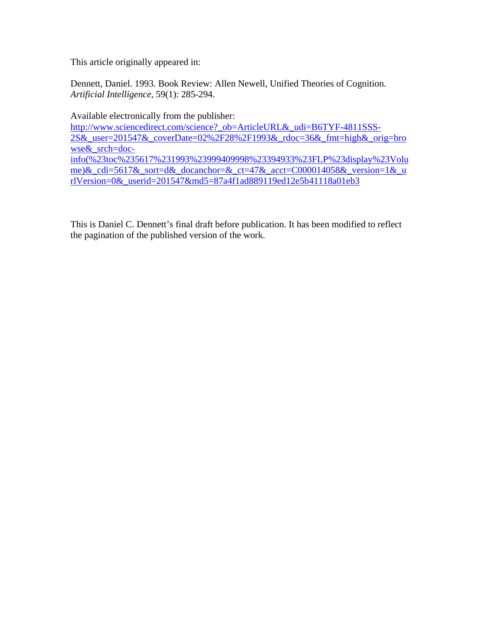This article originally appeared in:

Dennett, Daniel. 1993. Book Review: Allen Newell, Unified Theories of Cognition. *Artificial Intelligence*, 59(1): 285-294.

Available electronically from the publisher: [http://www.sciencedirect.com/science?\\_ob=ArticleURL&\\_udi=B6TYF-4811SSS-](http://www.sciencedirect.com/science?_ob=ArticleURL&_udi=B6TYF-4811SSS-2S&_user=201547&_coverDate=02%2F28%2F1993&_rdoc=36&_fmt=high&_orig=browse&_srch=doc-info(%23toc%235617%231993%23999409998%23394933%23FLP%23display%23Volume)&_cdi=5617&_sort=d&_docanchor=&_ct=47&_acct=C000014058&_version=1&_urlVersion=0&_userid=201547&md5=87a4f1ad889119ed12e5b41118a01eb3)[2S&\\_user=201547&\\_coverDate=02%2F28%2F1993&\\_rdoc=36&\\_fmt=high&\\_orig=bro](http://www.sciencedirect.com/science?_ob=ArticleURL&_udi=B6TYF-4811SSS-2S&_user=201547&_coverDate=02%2F28%2F1993&_rdoc=36&_fmt=high&_orig=browse&_srch=doc-info(%23toc%235617%231993%23999409998%23394933%23FLP%23display%23Volume)&_cdi=5617&_sort=d&_docanchor=&_ct=47&_acct=C000014058&_version=1&_urlVersion=0&_userid=201547&md5=87a4f1ad889119ed12e5b41118a01eb3) wse& srch=doc[info\(%23toc%235617%231993%23999409998%23394933%23FLP%23display%23Volu](http://www.sciencedirect.com/science?_ob=ArticleURL&_udi=B6TYF-4811SSS-2S&_user=201547&_coverDate=02%2F28%2F1993&_rdoc=36&_fmt=high&_orig=browse&_srch=doc-info(%23toc%235617%231993%23999409998%23394933%23FLP%23display%23Volume)&_cdi=5617&_sort=d&_docanchor=&_ct=47&_acct=C000014058&_version=1&_urlVersion=0&_userid=201547&md5=87a4f1ad889119ed12e5b41118a01eb3) [me\)&\\_cdi=5617&\\_sort=d&\\_docanchor=&\\_ct=47&\\_acct=C000014058&\\_version=1&\\_u](http://www.sciencedirect.com/science?_ob=ArticleURL&_udi=B6TYF-4811SSS-2S&_user=201547&_coverDate=02%2F28%2F1993&_rdoc=36&_fmt=high&_orig=browse&_srch=doc-info(%23toc%235617%231993%23999409998%23394933%23FLP%23display%23Volume)&_cdi=5617&_sort=d&_docanchor=&_ct=47&_acct=C000014058&_version=1&_urlVersion=0&_userid=201547&md5=87a4f1ad889119ed12e5b41118a01eb3) [rlVersion=0&\\_userid=201547&md5=87a4f1ad889119ed12e5b41118a01eb3](http://www.sciencedirect.com/science?_ob=ArticleURL&_udi=B6TYF-4811SSS-2S&_user=201547&_coverDate=02%2F28%2F1993&_rdoc=36&_fmt=high&_orig=browse&_srch=doc-info(%23toc%235617%231993%23999409998%23394933%23FLP%23display%23Volume)&_cdi=5617&_sort=d&_docanchor=&_ct=47&_acct=C000014058&_version=1&_urlVersion=0&_userid=201547&md5=87a4f1ad889119ed12e5b41118a01eb3)

This is Daniel C. Dennett's final draft before publication. It has been modified to reflect the pagination of the published version of the work.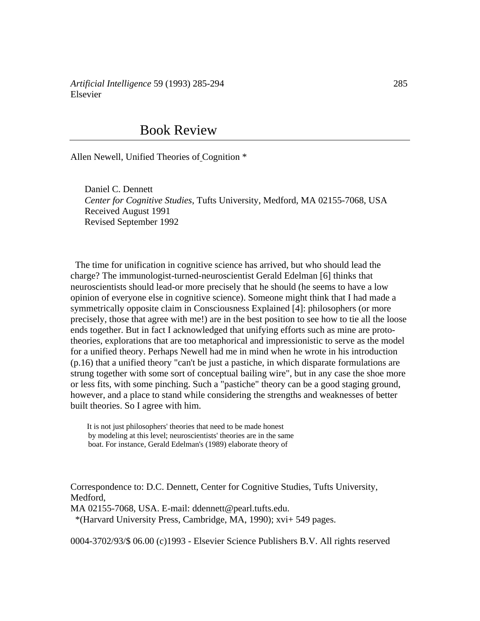*Artificial Intelligence* 59 (1993) 285-294 285 Elsevier

# Book Review

Allen Newell, Unified Theories of Cognition \*

 Daniel C. Dennett *Center for Cognitive Studies*, Tufts University, Medford, MA 02155-7068, USA Received August 1991 Revised September 1992

 The time for unification in cognitive science has arrived, but who should lead the charge? The immunologist-turned-neuroscientist Gerald Edelman [6] thinks that neuroscientists should lead-or more precisely that he should (he seems to have a low opinion of everyone else in cognitive science). Someone might think that I had made a symmetrically opposite claim in Consciousness Explained [4]: philosophers (or more precisely, those that agree with me!) are in the best position to see how to tie all the loose ends together. But in fact I acknowledged that unifying efforts such as mine are prototheories, explorations that are too metaphorical and impressionistic to serve as the model for a unified theory. Perhaps Newell had me in mind when he wrote in his introduction (p.16) that a unified theory "can't be just a pastiche, in which disparate formulations are strung together with some sort of conceptual bailing wire", but in any case the shoe more or less fits, with some pinching. Such a "pastiche" theory can be a good staging ground, however, and a place to stand while considering the strengths and weaknesses of better built theories. So I agree with him.

 It is not just philosophers' theories that need to be made honest by modeling at this level; neuroscientists' theories are in the same boat. For instance, Gerald Edelman's (1989) elaborate theory of

Correspondence to: D.C. Dennett, Center for Cognitive Studies, Tufts University, Medford,

MA 02155-7068, USA. E-mail: ddennett@pearl.tufts.edu.

\*(Harvard University Press, Cambridge, MA, 1990); xvi+ 549 pages.

0004-3702/93/\$ 06.00 (c)1993 - Elsevier Science Publishers B.V. All rights reserved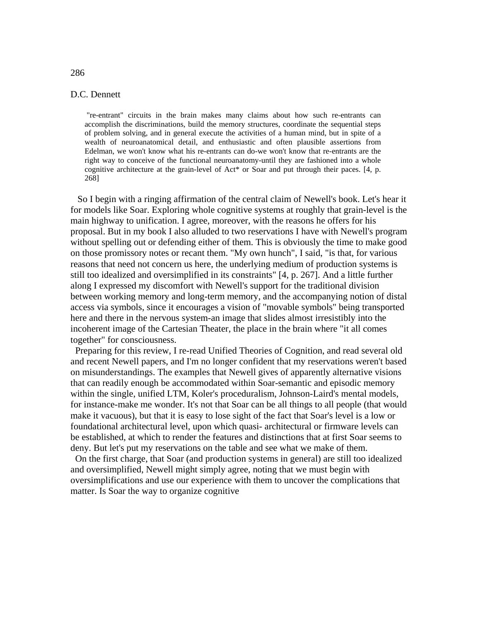"re-entrant" circuits in the brain makes many claims about how such re-entrants can accomplish the discriminations, build the memory structures, coordinate the sequential steps of problem solving, and in general execute the activities of a human mind, but in spite of a wealth of neuroanatomical detail, and enthusiastic and often plausible assertions from Edelman, we won't know what his re-entrants can do-we won't know that re-entrants are the right way to conceive of the functional neuroanatomy-until they are fashioned into a whole cognitive architecture at the grain-level of Act\* or Soar and put through their paces. [4, p. 268]

 So I begin with a ringing affirmation of the central claim of Newell's book. Let's hear it for models like Soar. Exploring whole cognitive systems at roughly that grain-level is the main highway to unification. I agree, moreover, with the reasons he offers for his proposal. But in my book I also alluded to two reservations I have with Newell's program without spelling out or defending either of them. This is obviously the time to make good on those promissory notes or recant them. "My own hunch", I said, "is that, for various reasons that need not concern us here, the underlying medium of production systems is still too idealized and oversimplified in its constraints" [4, p. 267]. And a little further along I expressed my discomfort with Newell's support for the traditional division between working memory and long-term memory, and the accompanying notion of distal access via symbols, since it encourages a vision of "movable symbols" being transported here and there in the nervous system-an image that slides almost irresistibly into the incoherent image of the Cartesian Theater, the place in the brain where "it all comes together" for consciousness.

 Preparing for this review, I re-read Unified Theories of Cognition, and read several old and recent Newell papers, and I'm no longer confident that my reservations weren't based on misunderstandings. The examples that Newell gives of apparently alternative visions that can readily enough be accommodated within Soar-semantic and episodic memory within the single, unified LTM, Koler's proceduralism, Johnson-Laird's mental models, for instance-make me wonder. It's not that Soar can be all things to all people (that would make it vacuous), but that it is easy to lose sight of the fact that Soar's level is a low or foundational architectural level, upon which quasi- architectural or firmware levels can be established, at which to render the features and distinctions that at first Soar seems to deny. But let's put my reservations on the table and see what we make of them.

 On the first charge, that Soar (and production systems in general) are still too idealized and oversimplified, Newell might simply agree, noting that we must begin with oversimplifications and use our experience with them to uncover the complications that matter. Is Soar the way to organize cognitive

#### 286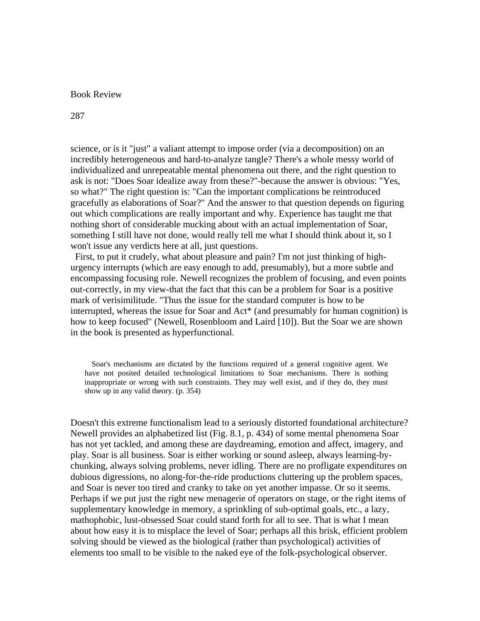287

science, or is it "just" a valiant attempt to impose order (via a decomposition) on an incredibly heterogeneous and hard-to-analyze tangle? There's a whole messy world of individualized and unrepeatable mental phenomena out there, and the right question to ask is not: "Does Soar idealize away from these?"-because the answer is obvious: "Yes, so what?" The right question is: "Can the important complications be reintroduced gracefully as elaborations of Soar?" And the answer to that question depends on figuring out which complications are really important and why. Experience has taught me that nothing short of considerable mucking about with an actual implementation of Soar, something I still have not done, would really tell me what I should think about it, so I won't issue any verdicts here at all, just questions.

 First, to put it crudely, what about pleasure and pain? I'm not just thinking of highurgency interrupts (which are easy enough to add, presumably), but a more subtle and encompassing focusing role. Newell recognizes the problem of focusing, and even points out-correctly, in my view-that the fact that this can be a problem for Soar is a positive mark of verisimilitude. "Thus the issue for the standard computer is how to be interrupted, whereas the issue for Soar and Act\* (and presumably for human cognition) is how to keep focused" (Newell, Rosenbloom and Laird [10]). But the Soar we are shown in the book is presented as hyperfunctional.

 Soar's mechanisms are dictated by the functions required of a general cognitive agent. We have not posited detailed technological limitations to Soar mechanisms. There is nothing inappropriate or wrong with such constraints. They may well exist, and if they do, they must show up in any valid theory. (p. 354)

Doesn't this extreme functionalism lead to a seriously distorted foundational architecture? Newell provides an alphabetized list (Fig. 8.1, p. 434) of some mental phenomena Soar has not yet tackled, and among these are daydreaming, emotion and affect, imagery, and play. Soar is all business. Soar is either working or sound asleep, always learning-bychunking, always solving problems, never idling. There are no profligate expenditures on dubious digressions, no along-for-the-ride productions cluttering up the problem spaces, and Soar is never too tired and cranky to take on yet another impasse. Or so it seems. Perhaps if we put just the right new menagerie of operators on stage, or the right items of supplementary knowledge in memory, a sprinkling of sub-optimal goals, etc., a lazy, mathophobic, lust-obsessed Soar could stand forth for all to see. That is what I mean about how easy it is to misplace the level of Soar; perhaps all this brisk, efficient problem solving should be viewed as the biological (rather than psychological) activities of elements too small to be visible to the naked eye of the folk-psychological observer.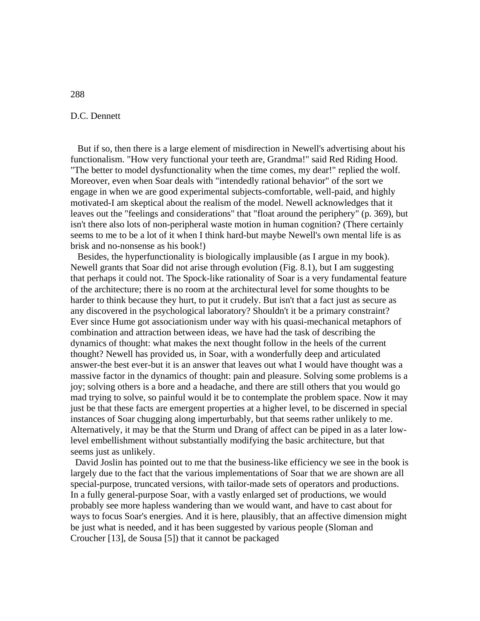But if so, then there is a large element of misdirection in Newell's advertising about his functionalism. "How very functional your teeth are, Grandma!" said Red Riding Hood. "The better to model dysfunctionality when the time comes, my dear!" replied the wolf. Moreover, even when Soar deals with "intendedly rational behavior" of the sort we engage in when we are good experimental subjects-comfortable, well-paid, and highly motivated-I am skeptical about the realism of the model. Newell acknowledges that it leaves out the "feelings and considerations" that "float around the periphery" (p. 369), but isn't there also lots of non-peripheral waste motion in human cognition? (There certainly seems to me to be a lot of it when I think hard-but maybe Newell's own mental life is as brisk and no-nonsense as his book!)

 Besides, the hyperfunctionality is biologically implausible (as I argue in my book). Newell grants that Soar did not arise through evolution (Fig. 8.1), but I am suggesting that perhaps it could not. The Spock-like rationality of Soar is a very fundamental feature of the architecture; there is no room at the architectural level for some thoughts to be harder to think because they hurt, to put it crudely. But isn't that a fact just as secure as any discovered in the psychological laboratory? Shouldn't it be a primary constraint? Ever since Hume got associationism under way with his quasi-mechanical metaphors of combination and attraction between ideas, we have had the task of describing the dynamics of thought: what makes the next thought follow in the heels of the current thought? Newell has provided us, in Soar, with a wonderfully deep and articulated answer-the best ever-but it is an answer that leaves out what I would have thought was a massive factor in the dynamics of thought: pain and pleasure. Solving some problems is a joy; solving others is a bore and a headache, and there are still others that you would go mad trying to solve, so painful would it be to contemplate the problem space. Now it may just be that these facts are emergent properties at a higher level, to be discerned in special instances of Soar chugging along imperturbably, but that seems rather unlikely to me. Alternatively, it may be that the Sturm und Drang of affect can be piped in as a later lowlevel embellishment without substantially modifying the basic architecture, but that seems just as unlikely.

 David Joslin has pointed out to me that the business-like efficiency we see in the book is largely due to the fact that the various implementations of Soar that we are shown are all special-purpose, truncated versions, with tailor-made sets of operators and productions. In a fully general-purpose Soar, with a vastly enlarged set of productions, we would probably see more hapless wandering than we would want, and have to cast about for ways to focus Soar's energies. And it is here, plausibly, that an affective dimension might be just what is needed, and it has been suggested by various people (Sloman and Croucher [13], de Sousa [5]) that it cannot be packaged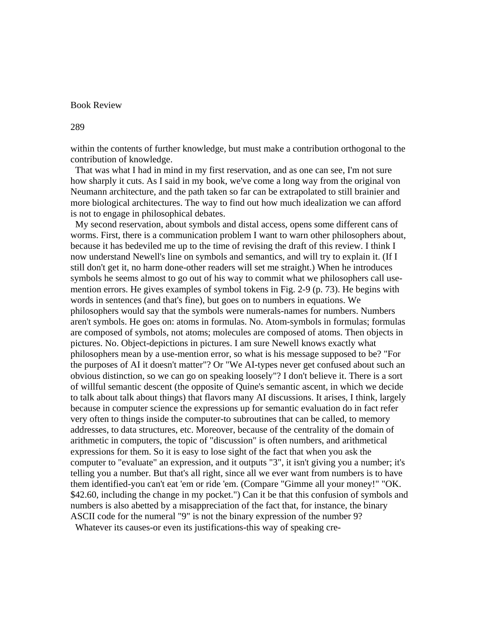289

within the contents of further knowledge, but must make a contribution orthogonal to the contribution of knowledge.

 That was what I had in mind in my first reservation, and as one can see, I'm not sure how sharply it cuts. As I said in my book, we've come a long way from the original von Neumann architecture, and the path taken so far can be extrapolated to still brainier and more biological architectures. The way to find out how much idealization we can afford is not to engage in philosophical debates.

 My second reservation, about symbols and distal access, opens some different cans of worms. First, there is a communication problem I want to warn other philosophers about, because it has bedeviled me up to the time of revising the draft of this review. I think I now understand Newell's line on symbols and semantics, and will try to explain it. (If I still don't get it, no harm done-other readers will set me straight.) When he introduces symbols he seems almost to go out of his way to commit what we philosophers call usemention errors. He gives examples of symbol tokens in Fig. 2-9 (p. 73). He begins with words in sentences (and that's fine), but goes on to numbers in equations. We philosophers would say that the symbols were numerals-names for numbers. Numbers aren't symbols. He goes on: atoms in formulas. No. Atom-symbols in formulas; formulas are composed of symbols, not atoms; molecules are composed of atoms. Then objects in pictures. No. Object-depictions in pictures. I am sure Newell knows exactly what philosophers mean by a use-mention error, so what is his message supposed to be? "For the purposes of AI it doesn't matter"? Or "We AI-types never get confused about such an obvious distinction, so we can go on speaking loosely"? I don't believe it. There is a sort of willful semantic descent (the opposite of Quine's semantic ascent, in which we decide to talk about talk about things) that flavors many AI discussions. It arises, I think, largely because in computer science the expressions up for semantic evaluation do in fact refer very often to things inside the computer-to subroutines that can be called, to memory addresses, to data structures, etc. Moreover, because of the centrality of the domain of arithmetic in computers, the topic of "discussion" is often numbers, and arithmetical expressions for them. So it is easy to lose sight of the fact that when you ask the computer to "evaluate" an expression, and it outputs "3", it isn't giving you a number; it's telling you a number. But that's all right, since all we ever want from numbers is to have them identified-you can't eat 'em or ride 'em. (Compare "Gimme all your money!" "OK. \$42.60, including the change in my pocket.") Can it be that this confusion of symbols and numbers is also abetted by a misappreciation of the fact that, for instance, the binary ASCII code for the numeral "9" is not the binary expression of the number 9?

Whatever its causes-or even its justifications-this way of speaking cre-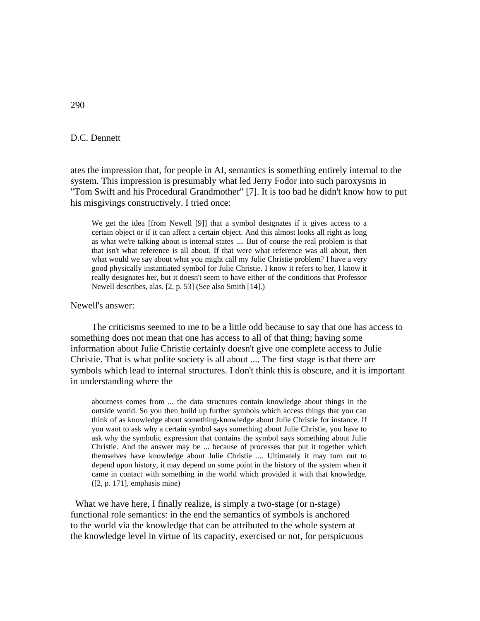ates the impression that, for people in AI, semantics is something entirely internal to the system. This impression is presumably what led Jerry Fodor into such paroxysms in "Tom Swift and his Procedural Grandmother" [7]. It is too bad he didn't know how to put his misgivings constructively. I tried once:

We get the idea [from Newell [9]] that a symbol designates if it gives access to a certain object or if it can affect a certain object. And this almost looks all right as long as what we're talking about is internal states .... But of course the real problem is that that isn't what reference is all about. If that were what reference was all about, then what would we say about what you might call my Julie Christie problem? I have a very good physically instantiated symbol for Julie Christie. I know it refers to her, I know it really designates her, but it doesn't seem to have either of the conditions that Professor Newell describes, alas. [2, p. 53] (See also Smith [14].)

# Newell's answer:

 The criticisms seemed to me to be a little odd because to say that one has access to something does not mean that one has access to all of that thing; having some information about Julie Christie certainly doesn't give one complete access to Julie Christie. That is what polite society is all about .... The first stage is that there are symbols which lead to internal structures. I don't think this is obscure, and it is important in understanding where the

 aboutness comes from ... the data structures contain knowledge about things in the outside world. So you then build up further symbols which access things that you can think of as knowledge about something-knowledge about Julie Christie for instance. If you want to ask why a certain symbol says something about Julie Christie, you have to ask why the symbolic expression that contains the symbol says something about Julie Christie. And the answer may be ... because of processes that put it together which themselves have knowledge about Julie Christie .... Ultimately it may turn out to depend upon history, it may depend on some point in the history of the system when it came in contact with something in the world which provided it with that knowledge. ([2, p. 171], emphasis mine)

 What we have here, I finally realize, is simply a two-stage (or n-stage) functional role semantics: in the end the semantics of symbols is anchored to the world via the knowledge that can be attributed to the whole system at the knowledge level in virtue of its capacity, exercised or not, for perspicuous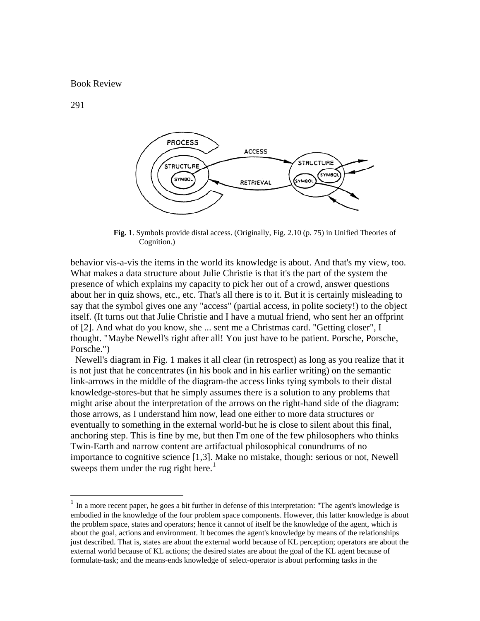291

 $\overline{a}$ 



 **Fig. 1**. Symbols provide distal access. (Originally, Fig. 2.10 (p. 75) in Unified Theories of Cognition.)

behavior vis-a-vis the items in the world its knowledge is about. And that's my view, too. What makes a data structure about Julie Christie is that it's the part of the system the presence of which explains my capacity to pick her out of a crowd, answer questions about her in quiz shows, etc., etc. That's all there is to it. But it is certainly misleading to say that the symbol gives one any "access" (partial access, in polite society!) to the object itself. (It turns out that Julie Christie and I have a mutual friend, who sent her an offprint of [2]. And what do you know, she ... sent me a Christmas card. "Getting closer", I thought. "Maybe Newell's right after all! You just have to be patient. Porsche, Porsche, Porsche.")

 Newell's diagram in Fig. 1 makes it all clear (in retrospect) as long as you realize that it is not just that he concentrates (in his book and in his earlier writing) on the semantic link-arrows in the middle of the diagram-the access links tying symbols to their distal knowledge-stores-but that he simply assumes there is a solution to any problems that might arise about the interpretation of the arrows on the right-hand side of the diagram: those arrows, as I understand him now, lead one either to more data structures or eventually to something in the external world-but he is close to silent about this final, anchoring step. This is fine by me, but then I'm one of the few philosophers who thinks Twin-Earth and narrow content are artifactual philosophical conundrums of no importance to cognitive science [1,3]. Make no mistake, though: serious or not, Newell sweeps them under the rug right here.<sup>[1](#page-7-0)</sup>

<span id="page-7-0"></span><sup>1</sup> In a more recent paper, he goes a bit further in defense of this interpretation: "The agent's knowledge is embodied in the knowledge of the four problem space components. However, this latter knowledge is about the problem space, states and operators; hence it cannot of itself be the knowledge of the agent, which is about the goal, actions and environment. It becomes the agent's knowledge by means of the relationships just described. That is, states are about the external world because of KL perception; operators are about the external world because of KL actions; the desired states are about the goal of the KL agent because of formulate-task; and the means-ends knowledge of select-operator is about performing tasks in the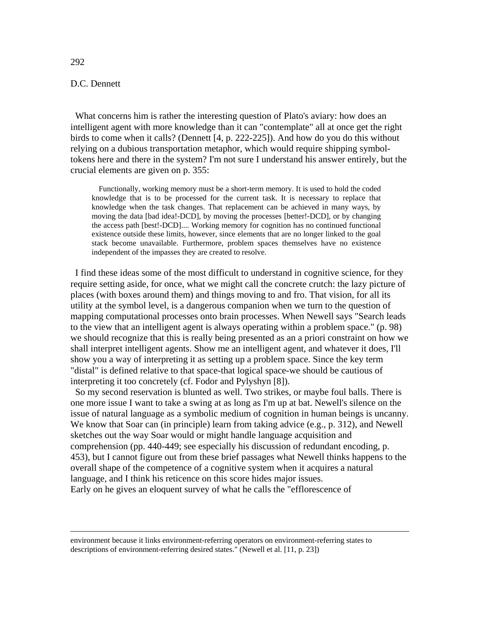What concerns him is rather the interesting question of Plato's aviary: how does an intelligent agent with more knowledge than it can "contemplate" all at once get the right birds to come when it calls? (Dennett [4, p. 222-225]). And how do you do this without relying on a dubious transportation metaphor, which would require shipping symboltokens here and there in the system? I'm not sure I understand his answer entirely, but the crucial elements are given on p. 355:

Functionally, working memory must be a short-term memory. It is used to hold the coded knowledge that is to be processed for the current task. It is necessary to replace that knowledge when the task changes. That replacement can be achieved in many ways, by moving the data [bad idea!-DCD], by moving the processes [better!-DCD], or by changing the access path [best!-DCD].... Working memory for cognition has no continued functional existence outside these limits, however, since elements that are no longer linked to the goal stack become unavailable. Furthermore, problem spaces themselves have no existence independent of the impasses they are created to resolve.

 I find these ideas some of the most difficult to understand in cognitive science, for they require setting aside, for once, what we might call the concrete crutch: the lazy picture of places (with boxes around them) and things moving to and fro. That vision, for all its utility at the symbol level, is a dangerous companion when we turn to the question of mapping computational processes onto brain processes. When Newell says "Search leads to the view that an intelligent agent is always operating within a problem space." (p. 98) we should recognize that this is really being presented as an a priori constraint on how we shall interpret intelligent agents. Show me an intelligent agent, and whatever it does, I'll show you a way of interpreting it as setting up a problem space. Since the key term "distal" is defined relative to that space-that logical space-we should be cautious of interpreting it too concretely (cf. Fodor and Pylyshyn [8]).

 So my second reservation is blunted as well. Two strikes, or maybe foul balls. There is one more issue I want to take a swing at as long as I'm up at bat. Newell's silence on the issue of natural language as a symbolic medium of cognition in human beings is uncanny. We know that Soar can (in principle) learn from taking advice (e.g., p. 312), and Newell sketches out the way Soar would or might handle language acquisition and comprehension (pp. 440-449; see especially his discussion of redundant encoding, p. 453), but I cannot figure out from these brief passages what Newell thinks happens to the overall shape of the competence of a cognitive system when it acquires a natural language, and I think his reticence on this score hides major issues. Early on he gives an eloquent survey of what he calls the "efflorescence of

 environment because it links environment-referring operators on environment-referring states to descriptions of environment-referring desired states." (Newell et al. [11, p. 23])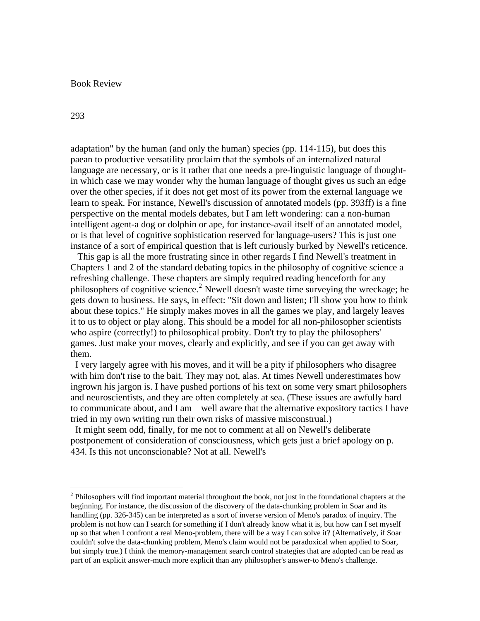293

 $\overline{a}$ 

adaptation" by the human (and only the human) species (pp. 114-115), but does this paean to productive versatility proclaim that the symbols of an internalized natural language are necessary, or is it rather that one needs a pre-linguistic language of thoughtin which case we may wonder why the human language of thought gives us such an edge over the other species, if it does not get most of its power from the external language we learn to speak. For instance, Newell's discussion of annotated models (pp. 393ff) is a fine perspective on the mental models debates, but I am left wondering: can a non-human intelligent agent-a dog or dolphin or ape, for instance-avail itself of an annotated model, or is that level of cognitive sophistication reserved for language-users? This is just one instance of a sort of empirical question that is left curiously burked by Newell's reticence.

 This gap is all the more frustrating since in other regards I find Newell's treatment in Chapters 1 and 2 of the standard debating topics in the philosophy of cognitive science a refreshing challenge. These chapters are simply required reading henceforth for any philosophers of cognitive science.<sup>[2](#page-9-0)</sup> Newell doesn't waste time surveying the wreckage; he gets down to business. He says, in effect: "Sit down and listen; I'll show you how to think about these topics." He simply makes moves in all the games we play, and largely leaves it to us to object or play along. This should be a model for all non-philosopher scientists who aspire (correctly!) to philosophical probity. Don't try to play the philosophers' games. Just make your moves, clearly and explicitly, and see if you can get away with them.

 I very largely agree with his moves, and it will be a pity if philosophers who disagree with him don't rise to the bait. They may not, alas. At times Newell underestimates how ingrown his jargon is. I have pushed portions of his text on some very smart philosophers and neuroscientists, and they are often completely at sea. (These issues are awfully hard to communicate about, and I am well aware that the alternative expository tactics I have tried in my own writing run their own risks of massive misconstrual.)

 It might seem odd, finally, for me not to comment at all on Newell's deliberate postponement of consideration of consciousness, which gets just a brief apology on p. 434. Is this not unconscionable? Not at all. Newell's

<span id="page-9-0"></span> $2$  Philosophers will find important material throughout the book, not just in the foundational chapters at the beginning. For instance, the discussion of the discovery of the data-chunking problem in Soar and its handling (pp. 326-345) can be interpreted as a sort of inverse version of Meno's paradox of inquiry. The problem is not how can I search for something if I don't already know what it is, but how can I set myself up so that when I confront a real Meno-problem, there will be a way I can solve it? (Alternatively, if Soar couldn't solve the data-chunking problem, Meno's claim would not be paradoxical when applied to Soar, but simply true.) I think the memory-management search control strategies that are adopted can be read as part of an explicit answer-much more explicit than any philosopher's answer-to Meno's challenge.